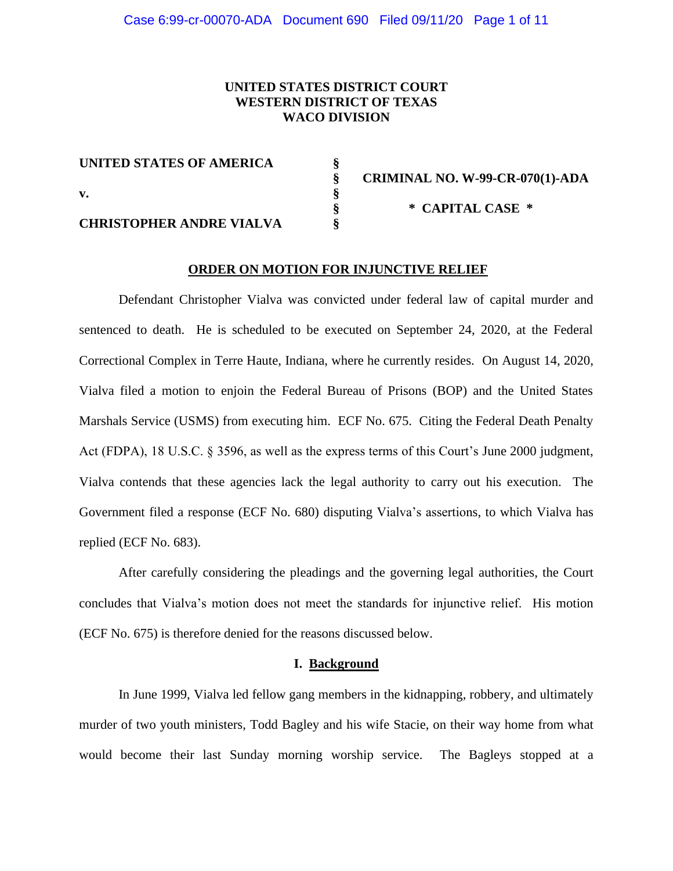# **UNITED STATES DISTRICT COURT WESTERN DISTRICT OF TEXAS WACO DIVISION**

| UNITED STATES OF AMERICA        |                                        |
|---------------------------------|----------------------------------------|
|                                 | <b>CRIMINAL NO. W-99-CR-070(1)-ADA</b> |
| v.                              |                                        |
|                                 | * CAPITAL CASE *                       |
| <b>CHRISTOPHER ANDRE VIALVA</b> |                                        |

#### **ORDER ON MOTION FOR INJUNCTIVE RELIEF**

Defendant Christopher Vialva was convicted under federal law of capital murder and sentenced to death. He is scheduled to be executed on September 24, 2020, at the Federal Correctional Complex in Terre Haute, Indiana, where he currently resides. On August 14, 2020, Vialva filed a motion to enjoin the Federal Bureau of Prisons (BOP) and the United States Marshals Service (USMS) from executing him. ECF No. 675. Citing the Federal Death Penalty Act (FDPA), 18 U.S.C. § 3596, as well as the express terms of this Court's June 2000 judgment, Vialva contends that these agencies lack the legal authority to carry out his execution. The Government filed a response (ECF No. 680) disputing Vialva's assertions, to which Vialva has replied (ECF No. 683).

After carefully considering the pleadings and the governing legal authorities, the Court concludes that Vialva's motion does not meet the standards for injunctive relief. His motion (ECF No. 675) is therefore denied for the reasons discussed below.

#### **I. Background**

In June 1999, Vialva led fellow gang members in the kidnapping, robbery, and ultimately murder of two youth ministers, Todd Bagley and his wife Stacie, on their way home from what would become their last Sunday morning worship service. The Bagleys stopped at a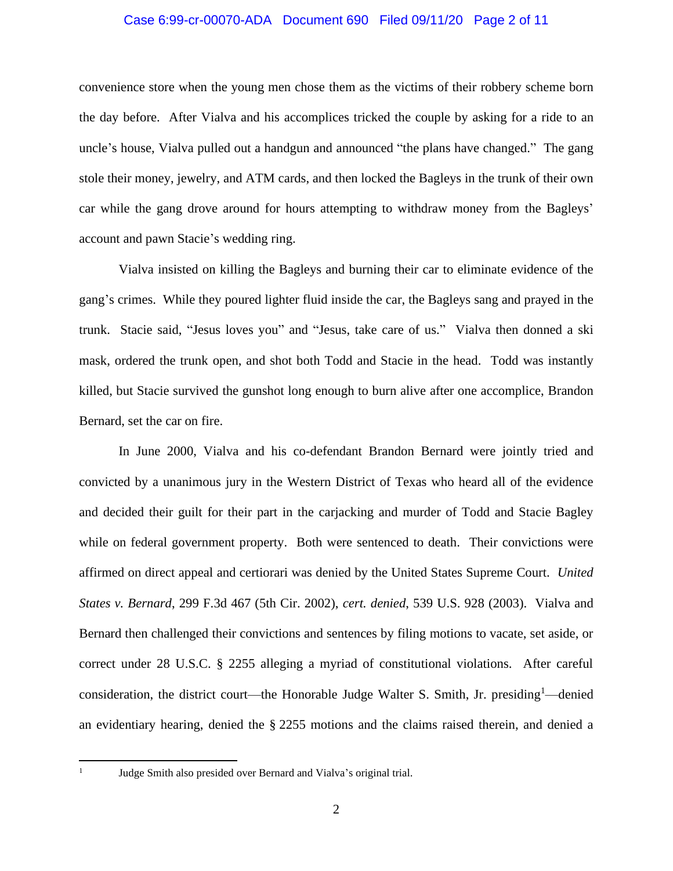## Case 6:99-cr-00070-ADA Document 690 Filed 09/11/20 Page 2 of 11

convenience store when the young men chose them as the victims of their robbery scheme born the day before. After Vialva and his accomplices tricked the couple by asking for a ride to an uncle's house, Vialva pulled out a handgun and announced "the plans have changed." The gang stole their money, jewelry, and ATM cards, and then locked the Bagleys in the trunk of their own car while the gang drove around for hours attempting to withdraw money from the Bagleys' account and pawn Stacie's wedding ring.

Vialva insisted on killing the Bagleys and burning their car to eliminate evidence of the gang's crimes. While they poured lighter fluid inside the car, the Bagleys sang and prayed in the trunk. Stacie said, "Jesus loves you" and "Jesus, take care of us." Vialva then donned a ski mask, ordered the trunk open, and shot both Todd and Stacie in the head. Todd was instantly killed, but Stacie survived the gunshot long enough to burn alive after one accomplice, Brandon Bernard, set the car on fire.

In June 2000, Vialva and his co-defendant Brandon Bernard were jointly tried and convicted by a unanimous jury in the Western District of Texas who heard all of the evidence and decided their guilt for their part in the carjacking and murder of Todd and Stacie Bagley while on federal government property. Both were sentenced to death. Their convictions were affirmed on direct appeal and certiorari was denied by the United States Supreme Court. *United States v. Bernard*, 299 F.3d 467 (5th Cir. 2002), *cert. denied*, 539 U.S. 928 (2003). Vialva and Bernard then challenged their convictions and sentences by filing motions to vacate, set aside, or correct under 28 U.S.C. § 2255 alleging a myriad of constitutional violations. After careful consideration, the district court—the Honorable Judge Walter S. Smith, Jr. presiding<sup>1</sup>—denied an evidentiary hearing, denied the § 2255 motions and the claims raised therein, and denied a

1

Judge Smith also presided over Bernard and Vialva's original trial.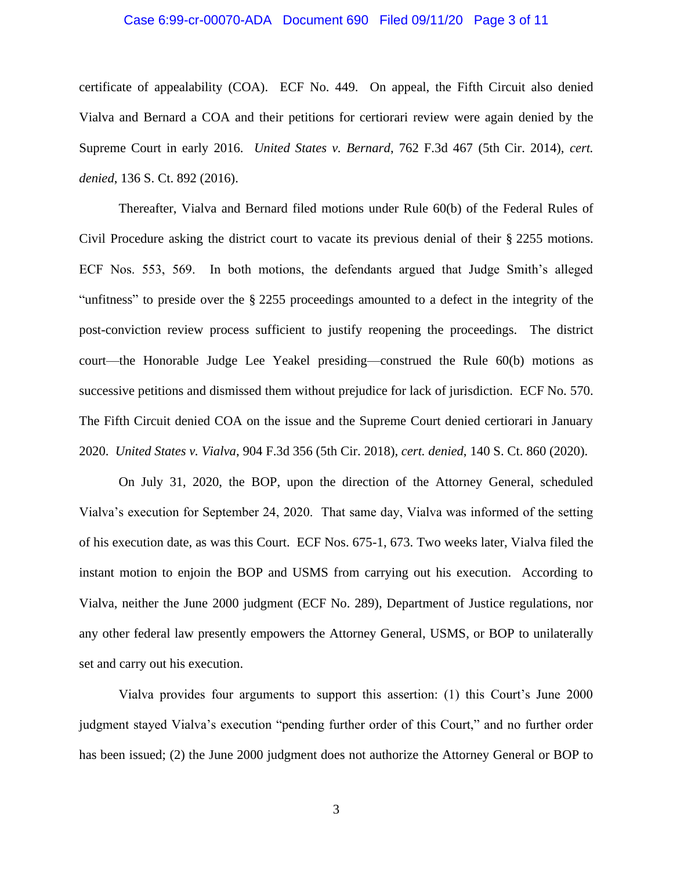### Case 6:99-cr-00070-ADA Document 690 Filed 09/11/20 Page 3 of 11

certificate of appealability (COA). ECF No. 449. On appeal, the Fifth Circuit also denied Vialva and Bernard a COA and their petitions for certiorari review were again denied by the Supreme Court in early 2016. *United States v. Bernard*, 762 F.3d 467 (5th Cir. 2014), *cert. denied*, 136 S. Ct. 892 (2016).

Thereafter, Vialva and Bernard filed motions under Rule 60(b) of the Federal Rules of Civil Procedure asking the district court to vacate its previous denial of their § 2255 motions. ECF Nos. 553, 569. In both motions, the defendants argued that Judge Smith's alleged "unfitness" to preside over the § 2255 proceedings amounted to a defect in the integrity of the post-conviction review process sufficient to justify reopening the proceedings. The district court—the Honorable Judge Lee Yeakel presiding—construed the Rule 60(b) motions as successive petitions and dismissed them without prejudice for lack of jurisdiction. ECF No. 570. The Fifth Circuit denied COA on the issue and the Supreme Court denied certiorari in January 2020. *United States v. Vialva*, 904 F.3d 356 (5th Cir. 2018), *cert. denied*, 140 S. Ct. 860 (2020).

On July 31, 2020, the BOP, upon the direction of the Attorney General, scheduled Vialva's execution for September 24, 2020. That same day, Vialva was informed of the setting of his execution date, as was this Court. ECF Nos. 675-1, 673. Two weeks later, Vialva filed the instant motion to enjoin the BOP and USMS from carrying out his execution. According to Vialva, neither the June 2000 judgment (ECF No. 289), Department of Justice regulations, nor any other federal law presently empowers the Attorney General, USMS, or BOP to unilaterally set and carry out his execution.

Vialva provides four arguments to support this assertion: (1) this Court's June 2000 judgment stayed Vialva's execution "pending further order of this Court," and no further order has been issued; (2) the June 2000 judgment does not authorize the Attorney General or BOP to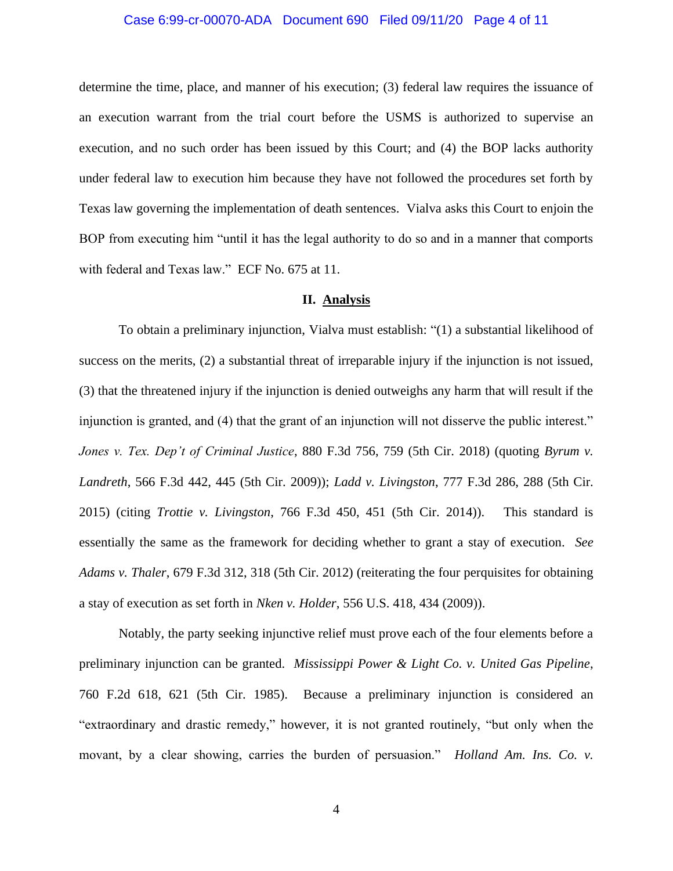## Case 6:99-cr-00070-ADA Document 690 Filed 09/11/20 Page 4 of 11

determine the time, place, and manner of his execution; (3) federal law requires the issuance of an execution warrant from the trial court before the USMS is authorized to supervise an execution, and no such order has been issued by this Court; and (4) the BOP lacks authority under federal law to execution him because they have not followed the procedures set forth by Texas law governing the implementation of death sentences. Vialva asks this Court to enjoin the BOP from executing him "until it has the legal authority to do so and in a manner that comports with federal and Texas law." ECF No. 675 at 11.

## **II. Analysis**

To obtain a preliminary injunction, Vialva must establish: "(1) a substantial likelihood of success on the merits, (2) a substantial threat of irreparable injury if the injunction is not issued, (3) that the threatened injury if the injunction is denied outweighs any harm that will result if the injunction is granted, and (4) that the grant of an injunction will not disserve the public interest." *Jones v. Tex. Dep't of Criminal Justice*, 880 F.3d 756, 759 (5th Cir. 2018) (quoting *Byrum v. Landreth*, 566 F.3d 442, 445 (5th Cir. 2009)); *Ladd v. Livingston*, 777 F.3d 286, 288 (5th Cir. 2015) (citing *Trottie v. Livingston*, 766 F.3d 450, 451 (5th Cir. 2014)). This standard is essentially the same as the framework for deciding whether to grant a stay of execution. *See Adams v. Thaler*, 679 F.3d 312, 318 (5th Cir. 2012) (reiterating the four perquisites for obtaining a stay of execution as set forth in *Nken v. Holder*, 556 U.S. 418, 434 (2009)).

Notably, the party seeking injunctive relief must prove each of the four elements before a preliminary injunction can be granted. *Mississippi Power & Light Co. v. United Gas Pipeline*, 760 F.2d 618, 621 (5th Cir. 1985). Because a preliminary injunction is considered an "extraordinary and drastic remedy," however, it is not granted routinely, "but only when the movant, by a clear showing, carries the burden of persuasion." *Holland Am. Ins. Co. v.*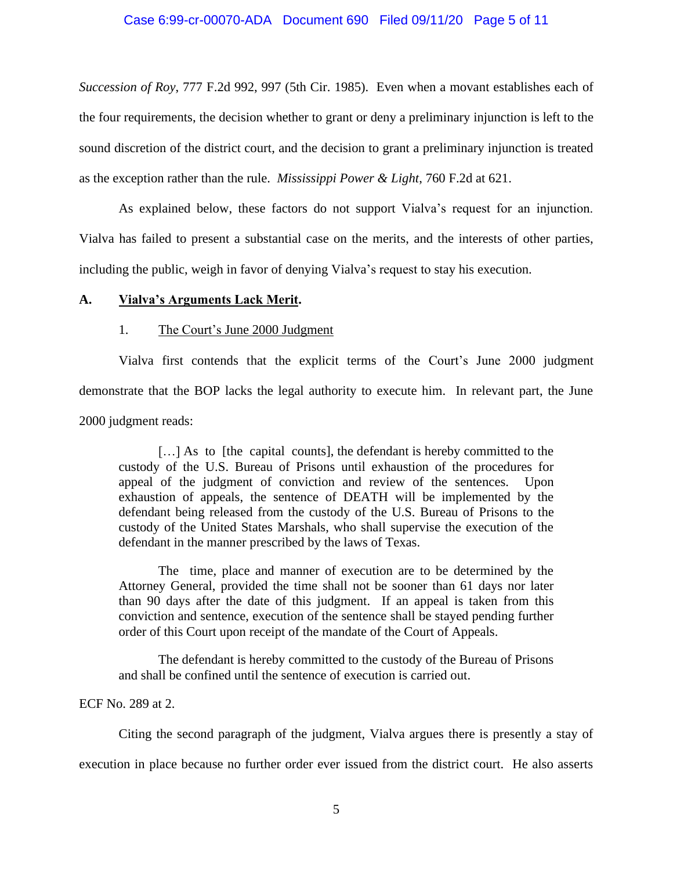*Succession of Roy*, 777 F.2d 992, 997 (5th Cir. 1985). Even when a movant establishes each of the four requirements, the decision whether to grant or deny a preliminary injunction is left to the sound discretion of the district court, and the decision to grant a preliminary injunction is treated as the exception rather than the rule. *Mississippi Power & Light*, 760 F.2d at 621.

As explained below, these factors do not support Vialva's request for an injunction. Vialva has failed to present a substantial case on the merits, and the interests of other parties, including the public, weigh in favor of denying Vialva's request to stay his execution.

### **A. Vialva's Arguments Lack Merit.**

### 1. The Court's June 2000 Judgment

Vialva first contends that the explicit terms of the Court's June 2000 judgment demonstrate that the BOP lacks the legal authority to execute him. In relevant part, the June 2000 judgment reads:

[...] As to [the capital counts], the defendant is hereby committed to the custody of the U.S. Bureau of Prisons until exhaustion of the procedures for appeal of the judgment of conviction and review of the sentences. Upon exhaustion of appeals, the sentence of DEATH will be implemented by the defendant being released from the custody of the U.S. Bureau of Prisons to the custody of the United States Marshals, who shall supervise the execution of the defendant in the manner prescribed by the laws of Texas.

The time, place and manner of execution are to be determined by the Attorney General, provided the time shall not be sooner than 61 days nor later than 90 days after the date of this judgment. If an appeal is taken from this conviction and sentence, execution of the sentence shall be stayed pending further order of this Court upon receipt of the mandate of the Court of Appeals.

The defendant is hereby committed to the custody of the Bureau of Prisons and shall be confined until the sentence of execution is carried out.

ECF No. 289 at 2.

Citing the second paragraph of the judgment, Vialva argues there is presently a stay of

execution in place because no further order ever issued from the district court. He also asserts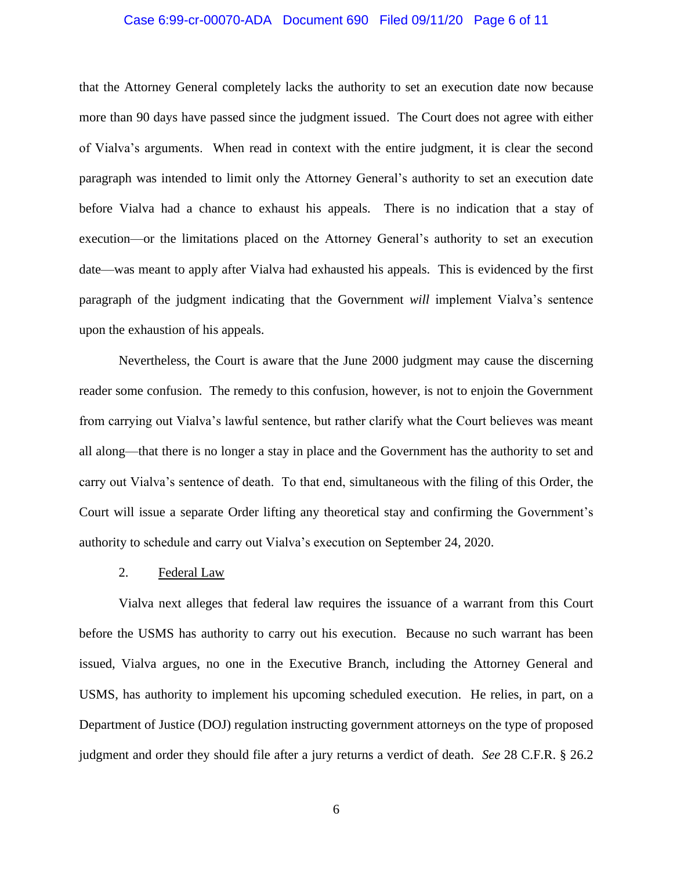## Case 6:99-cr-00070-ADA Document 690 Filed 09/11/20 Page 6 of 11

that the Attorney General completely lacks the authority to set an execution date now because more than 90 days have passed since the judgment issued. The Court does not agree with either of Vialva's arguments. When read in context with the entire judgment, it is clear the second paragraph was intended to limit only the Attorney General's authority to set an execution date before Vialva had a chance to exhaust his appeals. There is no indication that a stay of execution—or the limitations placed on the Attorney General's authority to set an execution date—was meant to apply after Vialva had exhausted his appeals. This is evidenced by the first paragraph of the judgment indicating that the Government *will* implement Vialva's sentence upon the exhaustion of his appeals.

Nevertheless, the Court is aware that the June 2000 judgment may cause the discerning reader some confusion. The remedy to this confusion, however, is not to enjoin the Government from carrying out Vialva's lawful sentence, but rather clarify what the Court believes was meant all along—that there is no longer a stay in place and the Government has the authority to set and carry out Vialva's sentence of death. To that end, simultaneous with the filing of this Order, the Court will issue a separate Order lifting any theoretical stay and confirming the Government's authority to schedule and carry out Vialva's execution on September 24, 2020.

#### 2. Federal Law

Vialva next alleges that federal law requires the issuance of a warrant from this Court before the USMS has authority to carry out his execution. Because no such warrant has been issued, Vialva argues, no one in the Executive Branch, including the Attorney General and USMS, has authority to implement his upcoming scheduled execution. He relies, in part, on a Department of Justice (DOJ) regulation instructing government attorneys on the type of proposed judgment and order they should file after a jury returns a verdict of death. *See* 28 C.F.R. § 26.2

6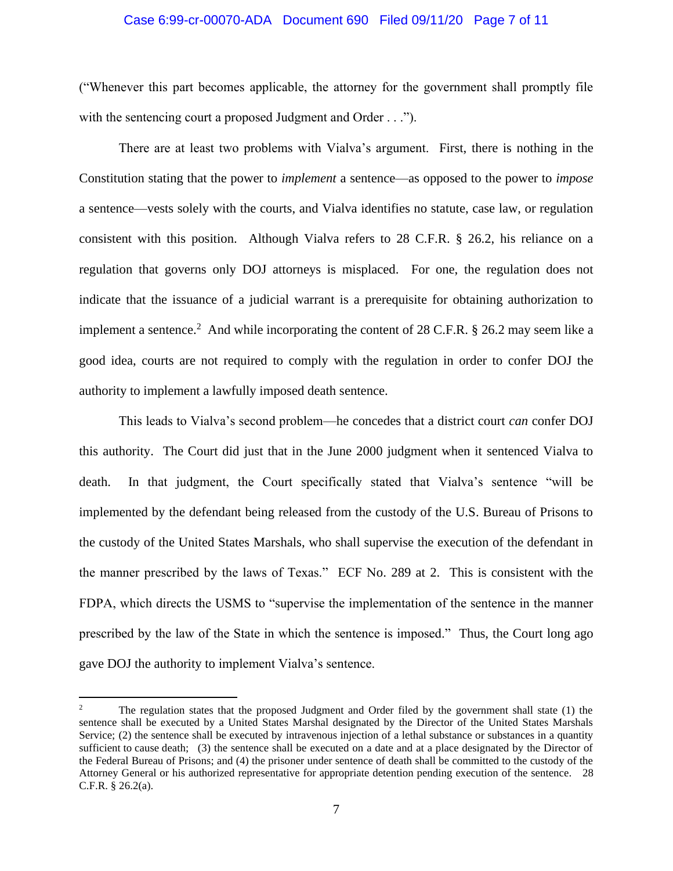## Case 6:99-cr-00070-ADA Document 690 Filed 09/11/20 Page 7 of 11

("Whenever this part becomes applicable, the attorney for the government shall promptly file with the sentencing court a proposed Judgment and Order . . .").

There are at least two problems with Vialva's argument. First, there is nothing in the Constitution stating that the power to *implement* a sentence—as opposed to the power to *impose* a sentence—vests solely with the courts, and Vialva identifies no statute, case law, or regulation consistent with this position. Although Vialva refers to 28 C.F.R. § 26.2, his reliance on a regulation that governs only DOJ attorneys is misplaced. For one, the regulation does not indicate that the issuance of a judicial warrant is a prerequisite for obtaining authorization to implement a sentence.<sup>2</sup> And while incorporating the content of 28 C.F.R.  $\S$  26.2 may seem like a good idea, courts are not required to comply with the regulation in order to confer DOJ the authority to implement a lawfully imposed death sentence.

This leads to Vialva's second problem—he concedes that a district court *can* confer DOJ this authority. The Court did just that in the June 2000 judgment when it sentenced Vialva to death. In that judgment, the Court specifically stated that Vialva's sentence "will be implemented by the defendant being released from the custody of the U.S. Bureau of Prisons to the custody of the United States Marshals, who shall supervise the execution of the defendant in the manner prescribed by the laws of Texas." ECF No. 289 at 2. This is consistent with the FDPA, which directs the USMS to "supervise the implementation of the sentence in the manner prescribed by the law of the State in which the sentence is imposed." Thus, the Court long ago gave DOJ the authority to implement Vialva's sentence.

<sup>&</sup>lt;sup>2</sup> The regulation states that the proposed Judgment and Order filed by the government shall state (1) the sentence shall be executed by a United States Marshal designated by the Director of the United States Marshals Service; (2) the sentence shall be executed by intravenous injection of a lethal substance or substances in a quantity sufficient to cause death; (3) the sentence shall be executed on a date and at a place designated by the Director of the Federal Bureau of Prisons; and (4) the prisoner under sentence of death shall be committed to the custody of the Attorney General or his authorized representative for appropriate detention pending execution of the sentence. 28 C.F.R. § 26.2(a).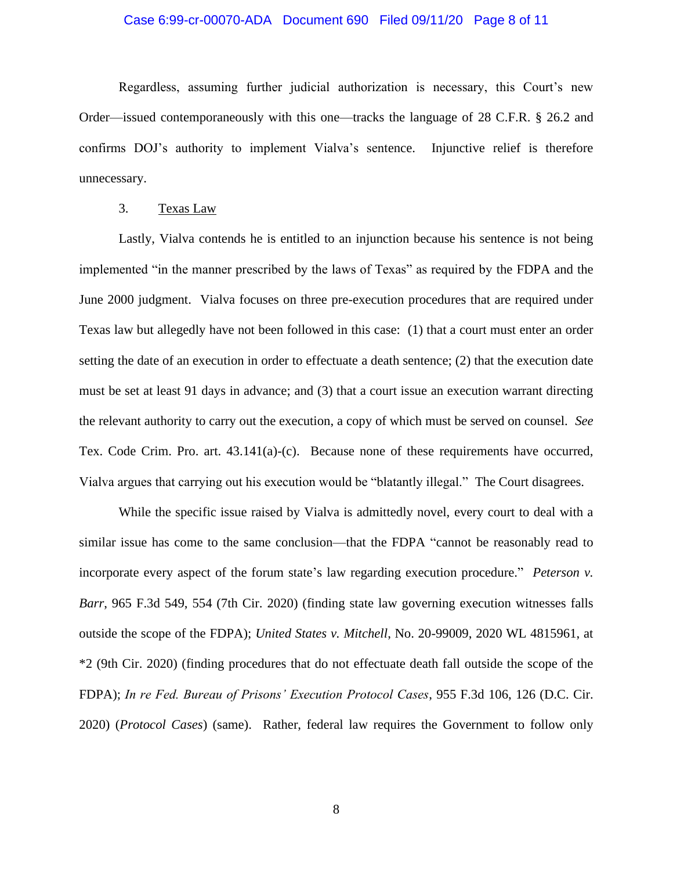## Case 6:99-cr-00070-ADA Document 690 Filed 09/11/20 Page 8 of 11

Regardless, assuming further judicial authorization is necessary, this Court's new Order—issued contemporaneously with this one—tracks the language of 28 C.F.R. § 26.2 and confirms DOJ's authority to implement Vialva's sentence. Injunctive relief is therefore unnecessary.

## 3. Texas Law

Lastly, Vialva contends he is entitled to an injunction because his sentence is not being implemented "in the manner prescribed by the laws of Texas" as required by the FDPA and the June 2000 judgment. Vialva focuses on three pre-execution procedures that are required under Texas law but allegedly have not been followed in this case: (1) that a court must enter an order setting the date of an execution in order to effectuate a death sentence; (2) that the execution date must be set at least 91 days in advance; and (3) that a court issue an execution warrant directing the relevant authority to carry out the execution, a copy of which must be served on counsel. *See* Tex. Code Crim. Pro. art. 43.141(a)-(c). Because none of these requirements have occurred, Vialva argues that carrying out his execution would be "blatantly illegal." The Court disagrees.

While the specific issue raised by Vialva is admittedly novel, every court to deal with a similar issue has come to the same conclusion—that the FDPA "cannot be reasonably read to incorporate every aspect of the forum state's law regarding execution procedure." *Peterson v. Barr*, 965 F.3d 549, 554 (7th Cir. 2020) (finding state law governing execution witnesses falls outside the scope of the FDPA); *United States v. Mitchell*, No. 20-99009, 2020 WL 4815961, at \*2 (9th Cir. 2020) (finding procedures that do not effectuate death fall outside the scope of the FDPA); *In re Fed. Bureau of Prisons' Execution Protocol Cases*, 955 F.3d 106, 126 (D.C. Cir. 2020) (*Protocol Cases*) (same). Rather, federal law requires the Government to follow only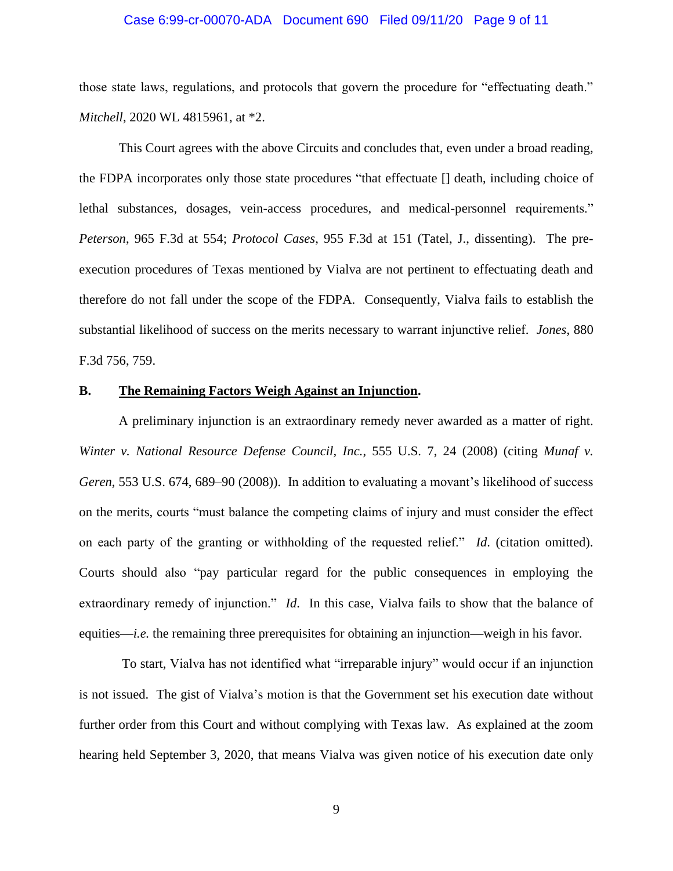## Case 6:99-cr-00070-ADA Document 690 Filed 09/11/20 Page 9 of 11

those state laws, regulations, and protocols that govern the procedure for "effectuating death." *Mitchell*, 2020 WL 4815961, at \*2.

This Court agrees with the above Circuits and concludes that, even under a broad reading, the FDPA incorporates only those state procedures "that effectuate [] death, including choice of lethal substances, dosages, vein-access procedures, and medical-personnel requirements." *Peterson*, 965 F.3d at 554; *Protocol Cases*, 955 F.3d at 151 (Tatel, J., dissenting). The preexecution procedures of Texas mentioned by Vialva are not pertinent to effectuating death and therefore do not fall under the scope of the FDPA. Consequently, Vialva fails to establish the substantial likelihood of success on the merits necessary to warrant injunctive relief. *Jones*, 880 F.3d 756, 759.

## **B. The Remaining Factors Weigh Against an Injunction.**

A preliminary injunction is an extraordinary remedy never awarded as a matter of right. *Winter v. National Resource Defense Council, Inc.*, 555 U.S. 7, 24 (2008) (citing *Munaf v. Geren*, 553 U.S. 674, 689–90 (2008)). In addition to evaluating a movant's likelihood of success on the merits, courts "must balance the competing claims of injury and must consider the effect on each party of the granting or withholding of the requested relief." *Id*. (citation omitted). Courts should also "pay particular regard for the public consequences in employing the extraordinary remedy of injunction." *Id*. In this case, Vialva fails to show that the balance of equities—*i.e.* the remaining three prerequisites for obtaining an injunction—weigh in his favor.

To start, Vialva has not identified what "irreparable injury" would occur if an injunction is not issued. The gist of Vialva's motion is that the Government set his execution date without further order from this Court and without complying with Texas law. As explained at the zoom hearing held September 3, 2020, that means Vialva was given notice of his execution date only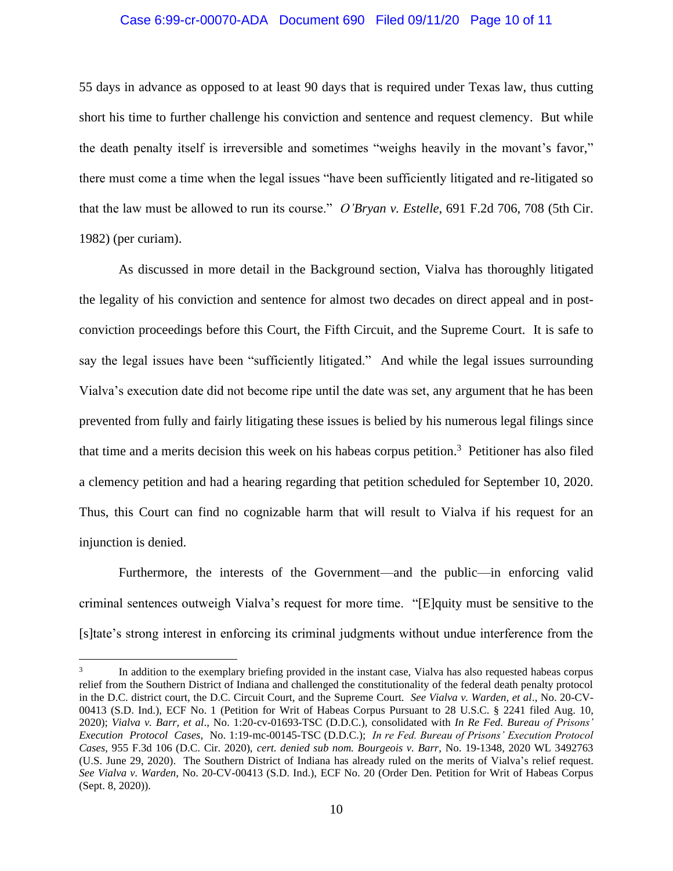## Case 6:99-cr-00070-ADA Document 690 Filed 09/11/20 Page 10 of 11

55 days in advance as opposed to at least 90 days that is required under Texas law, thus cutting short his time to further challenge his conviction and sentence and request clemency. But while the death penalty itself is irreversible and sometimes "weighs heavily in the movant's favor," there must come a time when the legal issues "have been sufficiently litigated and re-litigated so that the law must be allowed to run its course." *O'Bryan v. Estelle*, 691 F.2d 706, 708 (5th Cir. 1982) (per curiam).

As discussed in more detail in the Background section, Vialva has thoroughly litigated the legality of his conviction and sentence for almost two decades on direct appeal and in postconviction proceedings before this Court, the Fifth Circuit, and the Supreme Court. It is safe to say the legal issues have been "sufficiently litigated." And while the legal issues surrounding Vialva's execution date did not become ripe until the date was set, any argument that he has been prevented from fully and fairly litigating these issues is belied by his numerous legal filings since that time and a merits decision this week on his habeas corpus petition. 3 Petitioner has also filed a clemency petition and had a hearing regarding that petition scheduled for September 10, 2020. Thus, this Court can find no cognizable harm that will result to Vialva if his request for an injunction is denied.

Furthermore, the interests of the Government—and the public—in enforcing valid criminal sentences outweigh Vialva's request for more time. "[E]quity must be sensitive to the [s]tate's strong interest in enforcing its criminal judgments without undue interference from the

<sup>3</sup> In addition to the exemplary briefing provided in the instant case, Vialva has also requested habeas corpus relief from the Southern District of Indiana and challenged the constitutionality of the federal death penalty protocol in the D.C. district court, the D.C. Circuit Court, and the Supreme Court. *See Vialva v. Warden, et al*., No. 20-CV-00413 (S.D. Ind.), ECF No. 1 (Petition for Writ of Habeas Corpus Pursuant to 28 U.S.C. § 2241 filed Aug. 10, 2020); *Vialva v. Barr, et al*., No. 1:20-cv-01693-TSC (D.D.C.), consolidated with *In Re Fed. Bureau of Prisons' Execution Protocol Cases*, No. 1:19-mc-00145-TSC (D.D.C.); *In re Fed. Bureau of Prisons' Execution Protocol Cases*, 955 F.3d 106 (D.C. Cir. 2020), *cert. denied sub nom. Bourgeois v. Barr*, No. 19-1348, 2020 WL 3492763 (U.S. June 29, 2020). The Southern District of Indiana has already ruled on the merits of Vialva's relief request. *See Vialva v. Warden*, No. 20-CV-00413 (S.D. Ind.), ECF No. 20 (Order Den. Petition for Writ of Habeas Corpus (Sept. 8, 2020)).